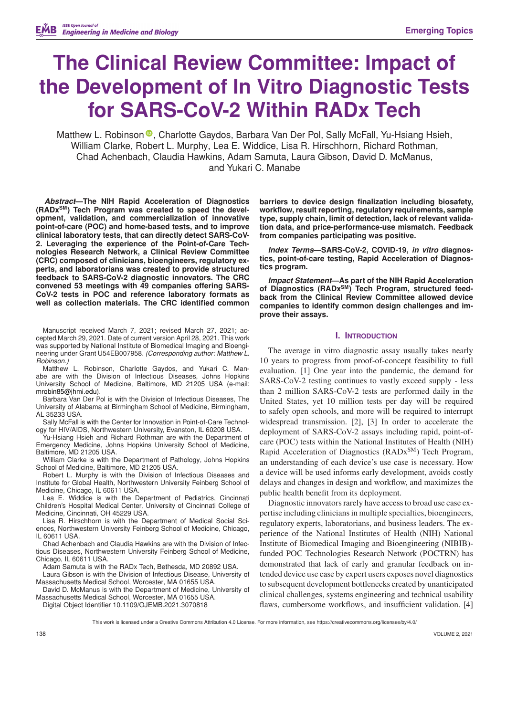# **The Clinical Review Committee: Impact of the Development of In Vitro Diagnostic Tests for SARS-CoV-2 Within RADx Tech**

Matthew L. Robinson <sup>®</sup>[,](https://orcid.org/0000-0003-0376-8560) Charlotte Gaydos, Barbara Van Der Pol, Sally McFall, Yu-Hsiang Hsieh, William Clarke, Robert L. Murphy, Lea E. Widdice, Lisa R. Hirschhorn, Richard Rothman, Chad Achenbach, Claudia Hawkins, Adam Samuta, Laura Gibson, David D. McManus, and Yukari C. Manabe

*Abstract***—The NIH Rapid Acceleration of Diagnostics (RADxSM) Tech Program was created to speed the development, validation, and commercialization of innovative point-of-care (POC) and home-based tests, and to improve clinical laboratory tests, that can directly detect SARS-CoV-2. Leveraging the experience of the Point-of-Care Technologies Research Network, a Clinical Review Committee (CRC) composed of clinicians, bioengineers, regulatory experts, and laboratorians was created to provide structured feedback to SARS-CoV-2 diagnostic innovators. The CRC convened 53 meetings with 49 companies offering SARS-CoV-2 tests in POC and reference laboratory formats as well as collection materials. The CRC identified common**

Manuscript received March 7, 2021; revised March 27, 2021; accepted March 29, 2021. Date of current version April 28, 2021. This work was supported by National Institute of Biomedical Imaging and Bioengineering under Grant U54EB007958. *(Corresponding author: Matthew L. Robinson.)*

Matthew L. Robinson, Charlotte Gaydos, and Yukari C. Manabe are with the Division of Infectious Diseases, Johns Hopkins University School of Medicine, Baltimore, MD 21205 USA (e-mail: [mrobin85@jhmi.edu\)](mailto:mrobin85@jhmi.edu).

Barbara Van Der Pol is with the Division of Infectious Diseases, The University of Alabama at Birmingham School of Medicine, Birmingham, AL 35233 USA.

Sally McFall is with the Center for Innovation in Point-of-Care Technology for HIV/AIDS, Northwestern University, Evanston, IL 60208 USA.

Yu-Hsiang Hsieh and Richard Rothman are with the Department of Emergency Medicine, Johns Hopkins University School of Medicine, Baltimore, MD 21205 USA.

William Clarke is with the Department of Pathology, Johns Hopkins School of Medicine, Baltimore, MD 21205 USA.

Robert L. Murphy is with the Division of Infectious Diseases and Institute for Global Health, Northwestern University Feinberg School of Medicine, Chicago, IL 60611 USA.

Lea E. Widdice is with the Department of Pediatrics, Cincinnati Children's Hospital Medical Center, University of Cincinnati College of Medicine, Cincinnati, OH 45229 USA.

Lisa R. Hirschhorn is with the Department of Medical Social Sciences, Northwestern University Feinberg School of Medicine, Chicago, IL 60611 USA.

Chad Achenbach and Claudia Hawkins are with the Division of Infectious Diseases, Northwestern University Feinberg School of Medicine, Chicago, IL 60611 USA.

Adam Samuta is with the RADx Tech, Bethesda, MD 20892 USA. Laura Gibson is with the Division of Infectious Disease, University of

Massachusetts Medical School, Worcester, MA 01655 USA. David D. McManus is with the Department of Medicine, University of

Massachusetts Medical School, Worcester, MA 01655 USA. Digital Object Identifier 10.1109/OJEMB.2021.3070818

**barriers to device design finalization including biosafety, workflow, result reporting, regulatory requirements, sample type, supply chain, limit of detection, lack of relevant validation data, and price-performance-use mismatch. Feedback from companies participating was positive.**

*Index Terms***—SARS-CoV-2, COVID-19,** *in vitro* **diagnostics, point-of-care testing, Rapid Acceleration of Diagnostics program.**

*Impact Statement***—As part of the NIH Rapid Acceleration** of Diagnostics (RADx<sup>SM</sup>) Tech Program, structured feed**back from the Clinical Review Committee allowed device companies to identify common design challenges and improve their assays.**

## **I. INTRODUCTION**

The average in vitro diagnostic assay usually takes nearly 10 years to progress from proof-of-concept feasibility to full evaluation. [1] One year into the pandemic, the demand for SARS-CoV-2 testing continues to vastly exceed supply - less than 2 million SARS-CoV-2 tests are performed daily in the United States, yet 10 million tests per day will be required to safely open schools, and more will be required to interrupt widespread transmission. [2], [3] In order to accelerate the deployment of SARS-CoV-2 assays including rapid, point-ofcare (POC) tests within the National Institutes of Health (NIH) Rapid Acceleration of Diagnostics (RADx<sup>SM</sup>) Tech Program, an understanding of each device's use case is necessary. How a device will be used informs early development, avoids costly delays and changes in design and workflow, and maximizes the public health benefit from its deployment.

Diagnostic innovators rarely have access to broad use case expertise including clinicians in multiple specialties, bioengineers, regulatory experts, laboratorians, and business leaders. The experience of the National Institutes of Health (NIH) National Institute of Biomedical Imaging and Bioengineering (NIBIB) funded POC Technologies Research Network (POCTRN) has demonstrated that lack of early and granular feedback on intended device use case by expert users exposes novel diagnostics to subsequent development bottlenecks created by unanticipated clinical challenges, systems engineering and technical usability flaws, cumbersome workflows, and insufficient validation. [4]

This work is licensed under a Creative Commons Attribution 4.0 License. For more information, see https://creativecommons.org/licenses/by/4.0/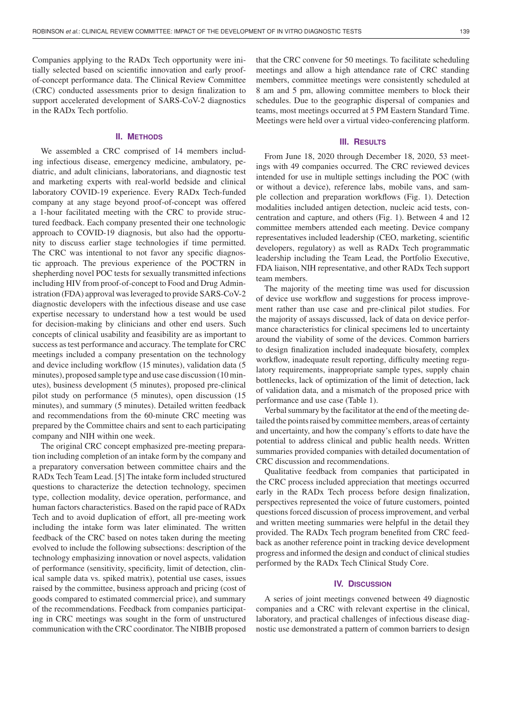Companies applying to the RADx Tech opportunity were initially selected based on scientific innovation and early proofof-concept performance data. The Clinical Review Committee (CRC) conducted assessments prior to design finalization to support accelerated development of SARS-CoV-2 diagnostics in the RADx Tech portfolio.

## **II. METHODS**

We assembled a CRC comprised of 14 members including infectious disease, emergency medicine, ambulatory, pediatric, and adult clinicians, laboratorians, and diagnostic test and marketing experts with real-world bedside and clinical laboratory COVID-19 experience. Every RADx Tech-funded company at any stage beyond proof-of-concept was offered a 1-hour facilitated meeting with the CRC to provide structured feedback. Each company presented their one technologic approach to COVID-19 diagnosis, but also had the opportunity to discuss earlier stage technologies if time permitted. The CRC was intentional to not favor any specific diagnostic approach. The previous experience of the POCTRN in shepherding novel POC tests for sexually transmitted infections including HIV from proof-of-concept to Food and Drug Administration (FDA) approval was leveraged to provide SARS-CoV-2 diagnostic developers with the infectious disease and use case expertise necessary to understand how a test would be used for decision-making by clinicians and other end users. Such concepts of clinical usability and feasibility are as important to success as test performance and accuracy. The template for CRC meetings included a company presentation on the technology and device including workflow (15 minutes), validation data (5 minutes), proposed sample type and use case discussion (10 minutes), business development (5 minutes), proposed pre-clinical pilot study on performance (5 minutes), open discussion (15 minutes), and summary (5 minutes). Detailed written feedback and recommendations from the 60-minute CRC meeting was prepared by the Committee chairs and sent to each participating company and NIH within one week.

The original CRC concept emphasized pre-meeting preparation including completion of an intake form by the company and a preparatory conversation between committee chairs and the RADx Tech Team Lead. [5] The intake form included structured questions to characterize the detection technology, specimen type, collection modality, device operation, performance, and human factors characteristics. Based on the rapid pace of RADx Tech and to avoid duplication of effort, all pre-meeting work including the intake form was later eliminated. The written feedback of the CRC based on notes taken during the meeting evolved to include the following subsections: description of the technology emphasizing innovation or novel aspects, validation of performance (sensitivity, specificity, limit of detection, clinical sample data vs. spiked matrix), potential use cases, issues raised by the committee, business approach and pricing (cost of goods compared to estimated commercial price), and summary of the recommendations. Feedback from companies participating in CRC meetings was sought in the form of unstructured communication with the CRC coordinator. The NIBIB proposed

that the CRC convene for 50 meetings. To facilitate scheduling meetings and allow a high attendance rate of CRC standing members, committee meetings were consistently scheduled at 8 am and 5 pm, allowing committee members to block their schedules. Due to the geographic dispersal of companies and teams, most meetings occurred at 5 PM Eastern Standard Time. Meetings were held over a virtual video-conferencing platform.

## **III. RESULTS**

From June 18, 2020 through December 18, 2020, 53 meetings with 49 companies occurred. The CRC reviewed devices intended for use in multiple settings including the POC (with or without a device), reference labs, mobile vans, and sample collection and preparation workflows (Fig. 1). Detection modalities included antigen detection, nucleic acid tests, concentration and capture, and others (Fig. 1). Between 4 and 12 committee members attended each meeting. Device company representatives included leadership (CEO, marketing, scientific developers, regulatory) as well as RADx Tech programmatic leadership including the Team Lead, the Portfolio Executive, FDA liaison, NIH representative, and other RADx Tech support team members.

The majority of the meeting time was used for discussion of device use workflow and suggestions for process improvement rather than use case and pre-clinical pilot studies. For the majority of assays discussed, lack of data on device performance characteristics for clinical specimens led to uncertainty around the viability of some of the devices. Common barriers to design finalization included inadequate biosafety, complex workflow, inadequate result reporting, difficulty meeting regulatory requirements, inappropriate sample types, supply chain bottlenecks, lack of optimization of the limit of detection, lack of validation data, and a mismatch of the proposed price with performance and use case (Table 1).

Verbal summary by the facilitator at the end of the meeting detailed the points raised by committee members, areas of certainty and uncertainty, and how the company's efforts to date have the potential to address clinical and public health needs. Written summaries provided companies with detailed documentation of CRC discussion and recommendations.

Qualitative feedback from companies that participated in the CRC process included appreciation that meetings occurred early in the RADx Tech process before design finalization, perspectives represented the voice of future customers, pointed questions forced discussion of process improvement, and verbal and written meeting summaries were helpful in the detail they provided. The RADx Tech program benefited from CRC feedback as another reference point in tracking device development progress and informed the design and conduct of clinical studies performed by the RADx Tech Clinical Study Core.

## **IV. DISCUSSION**

A series of joint meetings convened between 49 diagnostic companies and a CRC with relevant expertise in the clinical, laboratory, and practical challenges of infectious disease diagnostic use demonstrated a pattern of common barriers to design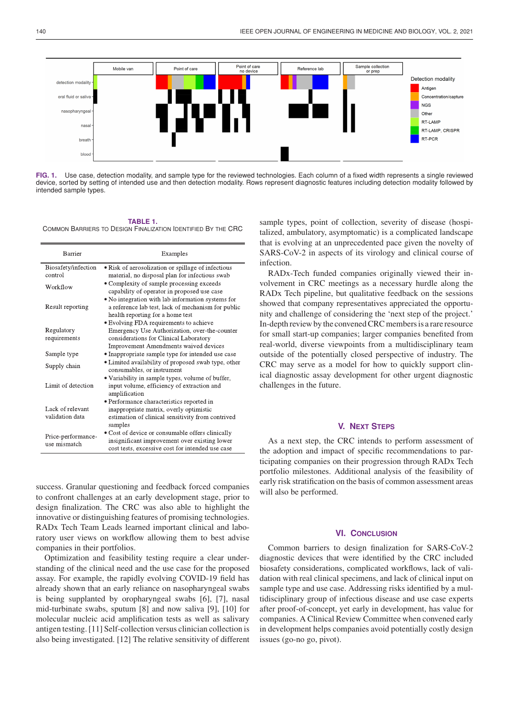

**FIG. 1.** Use case, detection modality, and sample type for the reviewed technologies. Each column of a fixed width represents a single reviewed device, sorted by setting of intended use and then detection modality. Rows represent diagnostic features including detection modality followed by intended sample types.

#### **TABLE 1.**

COMMON BARRIERS TO DESIGN FINALIZATION IDENTIFIED BY THE CRC

| Barrier                             | Examples                                                                                                                                                                   |
|-------------------------------------|----------------------------------------------------------------------------------------------------------------------------------------------------------------------------|
| Biosafety/infection<br>control      | • Risk of aerosolization or spillage of infectious<br>material, no disposal plan for infectious swab                                                                       |
| Workflow                            | • Complexity of sample processing exceeds<br>capability of operator in proposed use case                                                                                   |
| Result reporting                    | • No integration with lab information systems for<br>a reference lab test, lack of mechanism for public<br>health reporting for a home test                                |
| Regulatory<br>requirements          | • Evolving FDA requirements to achieve<br>Emergency Use Authorization, over-the-counter<br>considerations for Clinical Laboratory<br>Improvement Amendments waived devices |
| Sample type                         | • Inappropriate sample type for intended use case                                                                                                                          |
| Supply chain                        | • Limited availability of proposed swab type, other<br>consumables, or instrument                                                                                          |
| Limit of detection                  | • Variability in sample types, volume of buffer,<br>input volume, efficiency of extraction and<br>amplification                                                            |
| Lack of relevant<br>validation data | • Performance characteristics reported in<br>inappropriate matrix, overly optimistic<br>estimation of clinical sensitivity from contrived<br>samples                       |
| Price-performance-<br>use mismatch  | • Cost of device or consumable offers clinically<br>insignificant improvement over existing lower<br>cost tests, excessive cost for intended use case                      |

success. Granular questioning and feedback forced companies to confront challenges at an early development stage, prior to design finalization. The CRC was also able to highlight the innovative or distinguishing features of promising technologies. RADx Tech Team Leads learned important clinical and laboratory user views on workflow allowing them to best advise companies in their portfolios.

Optimization and feasibility testing require a clear understanding of the clinical need and the use case for the proposed assay. For example, the rapidly evolving COVID-19 field has already shown that an early reliance on nasopharyngeal swabs is being supplanted by oropharyngeal swabs [6], [7], nasal mid-turbinate swabs, sputum [8] and now saliva [9], [10] for molecular nucleic acid amplification tests as well as salivary antigen testing. [11] Self-collection versus clinician collection is also being investigated. [12] The relative sensitivity of different

sample types, point of collection, severity of disease (hospitalized, ambulatory, asymptomatic) is a complicated landscape that is evolving at an unprecedented pace given the novelty of SARS-CoV-2 in aspects of its virology and clinical course of infection.

RADx-Tech funded companies originally viewed their involvement in CRC meetings as a necessary hurdle along the RADx Tech pipeline, but qualitative feedback on the sessions showed that company representatives appreciated the opportunity and challenge of considering the 'next step of the project.' In-depth review by the convened CRC members is a rare resource for small start-up companies; larger companies benefited from real-world, diverse viewpoints from a multidisciplinary team outside of the potentially closed perspective of industry. The CRC may serve as a model for how to quickly support clinical diagnostic assay development for other urgent diagnostic challenges in the future.

## **V. NEXT STEPS**

As a next step, the CRC intends to perform assessment of the adoption and impact of specific recommendations to participating companies on their progression through RADx Tech portfolio milestones. Additional analysis of the feasibility of early risk stratification on the basis of common assessment areas will also be performed.

#### **VI. CONCLUSION**

Common barriers to design finalization for SARS-CoV-2 diagnostic devices that were identified by the CRC included biosafety considerations, complicated workflows, lack of validation with real clinical specimens, and lack of clinical input on sample type and use case. Addressing risks identified by a multidisciplinary group of infectious disease and use case experts after proof-of-concept, yet early in development, has value for companies. A Clinical Review Committee when convened early in development helps companies avoid potentially costly design issues (go-no go, pivot).